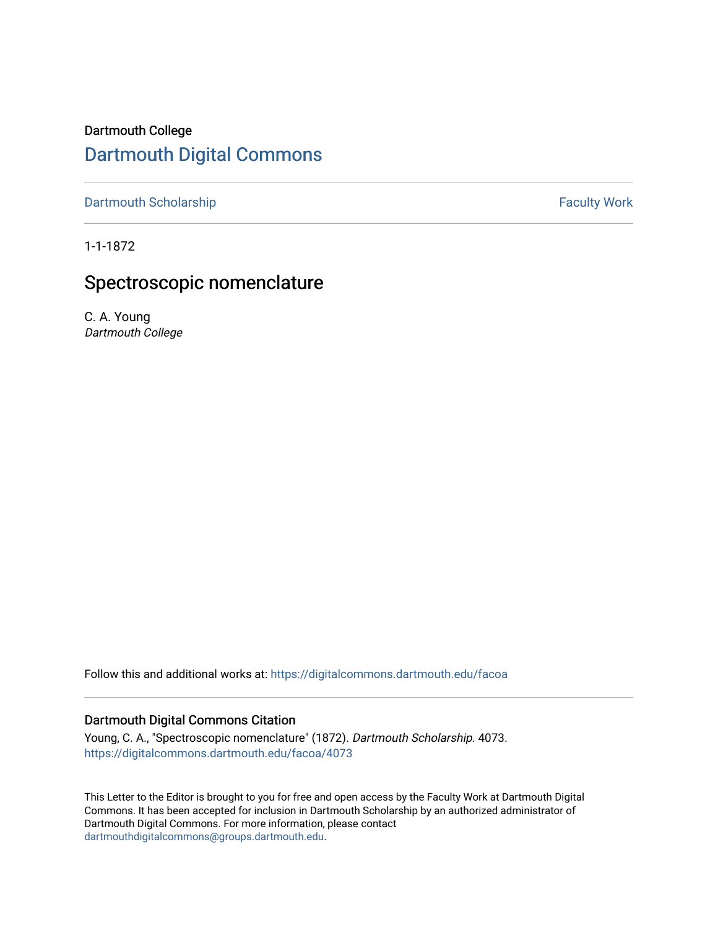# Dartmouth College [Dartmouth Digital Commons](https://digitalcommons.dartmouth.edu/)

[Dartmouth Scholarship](https://digitalcommons.dartmouth.edu/facoa) **Faculty Work Dartmouth Scholarship Faculty Work** 

1-1-1872

# Spectroscopic nomenclature

C. A. Young Dartmouth College

Follow this and additional works at: [https://digitalcommons.dartmouth.edu/facoa](https://digitalcommons.dartmouth.edu/facoa?utm_source=digitalcommons.dartmouth.edu%2Ffacoa%2F4073&utm_medium=PDF&utm_campaign=PDFCoverPages)

## Dartmouth Digital Commons Citation

Young, C. A., "Spectroscopic nomenclature" (1872). Dartmouth Scholarship. 4073. [https://digitalcommons.dartmouth.edu/facoa/4073](https://digitalcommons.dartmouth.edu/facoa/4073?utm_source=digitalcommons.dartmouth.edu%2Ffacoa%2F4073&utm_medium=PDF&utm_campaign=PDFCoverPages) 

This Letter to the Editor is brought to you for free and open access by the Faculty Work at Dartmouth Digital Commons. It has been accepted for inclusion in Dartmouth Scholarship by an authorized administrator of Dartmouth Digital Commons. For more information, please contact [dartmouthdigitalcommons@groups.dartmouth.edu](mailto:dartmouthdigitalcommons@groups.dartmouth.edu).